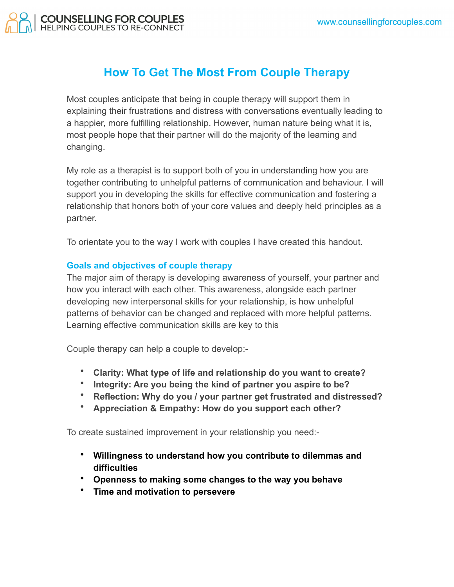

## **How To Get The Most From Couple Therapy**

Most couples anticipate that being in couple therapy will support them in explaining their frustrations and distress with conversations eventually leading to a happier, more fulfilling relationship. However, human nature being what it is, most people hope that their partner will do the majority of the learning and changing.

My role as a therapist is to support both of you in understanding how you are together contributing to unhelpful patterns of communication and behaviour. I will support you in developing the skills for effective communication and fostering a relationship that honors both of your core values and deeply held principles as a partner.

To orientate you to the way I work with couples I have created this handout.

## **Goals and objectives of couple therapy**

The major aim of therapy is developing awareness of yourself, your partner and how you interact with each other. This awareness, alongside each partner developing new interpersonal skills for your relationship, is how unhelpful patterns of behavior can be changed and replaced with more helpful patterns. Learning effective communication skills are key to this

Couple therapy can help a couple to develop:-

- **Clarity: What type of life and relationship do you want to create?**
- **Integrity: Are you being the kind of partner you aspire to be?**
- **Reflection: Why do you / your partner get frustrated and distressed?**
- **Appreciation & Empathy: How do you support each other?**

To create sustained improvement in your relationship you need:-

- **Willingness to understand how you contribute to dilemmas and difficulties**
- **Openness to making some changes to the way you behave**
- **Time and motivation to persevere**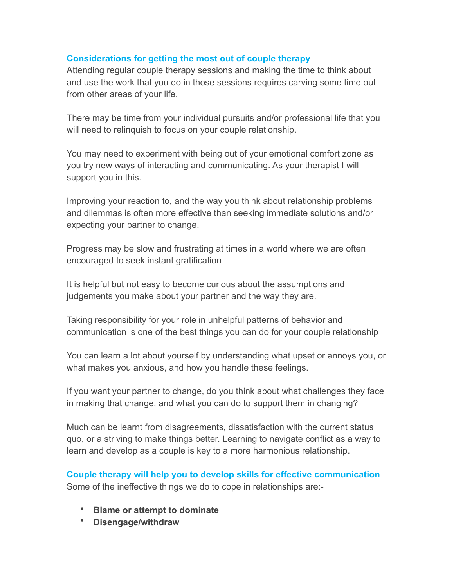## **Considerations for getting the most out of couple therapy**

Attending regular couple therapy sessions and making the time to think about and use the work that you do in those sessions requires carving some time out from other areas of your life.

There may be time from your individual pursuits and/or professional life that you will need to relinquish to focus on your couple relationship.

You may need to experiment with being out of your emotional comfort zone as you try new ways of interacting and communicating. As your therapist I will support you in this.

Improving your reaction to, and the way you think about relationship problems and dilemmas is often more effective than seeking immediate solutions and/or expecting your partner to change.

Progress may be slow and frustrating at times in a world where we are often encouraged to seek instant gratification

It is helpful but not easy to become curious about the assumptions and judgements you make about your partner and the way they are.

Taking responsibility for your role in unhelpful patterns of behavior and communication is one of the best things you can do for your couple relationship

You can learn a lot about yourself by understanding what upset or annoys you, or what makes you anxious, and how you handle these feelings.

If you want your partner to change, do you think about what challenges they face in making that change, and what you can do to support them in changing?

Much can be learnt from disagreements, dissatisfaction with the current status quo, or a striving to make things better. Learning to navigate conflict as a way to learn and develop as a couple is key to a more harmonious relationship.

**Couple therapy will help you to develop skills for effective communication** Some of the ineffective things we do to cope in relationships are:-

- **Blame or attempt to dominate**
- **Disengage/withdraw**